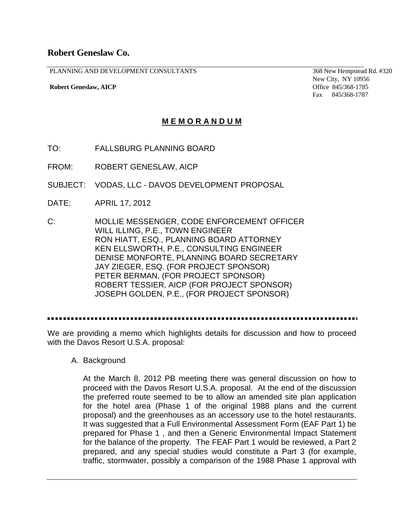## **Robert Geneslaw Co.**

PLANNING AND DEVELOPMENT CONSULTANTS

**Robert Geneslaw, AICP**

368 New Hempstead Rd. #320 New City, NY 10956 Office 845/368-1785 Fax 845/368-1787

## **M E M O R A N D U M**

- TO: FALLSBURG PLANNING BOARD
- FROM: ROBERT GENESLAW, AICP
- SUBJECT: VODAS, LLC DAVOS DEVELOPMENT PROPOSAL
- DATE: APRIL 17, 2012
- C: MOLLIE MESSENGER, CODE ENFORCEMENT OFFICER WILL ILLING, P.E., TOWN ENGINEER RON HIATT, ESQ., PLANNING BOARD ATTORNEY KEN ELLSWORTH, P.E., CONSULTING ENGINEER DENISE MONFORTE, PLANNING BOARD SECRETARY JAY ZIEGER, ESQ. (FOR PROJECT SPONSOR) PETER BERMAN, (FOR PROJECT SPONSOR) ROBERT TESSIER, AICP (FOR PROJECT SPONSOR) JOSEPH GOLDEN, P.E., (FOR PROJECT SPONSOR)

We are providing a memo which highlights details for discussion and how to proceed with the Davos Resort U.S.A. proposal:

A. Background

At the March 8, 2012 PB meeting there was general discussion on how to proceed with the Davos Resort U.S.A. proposal. At the end of the discussion the preferred route seemed to be to allow an amended site plan application for the hotel area (Phase 1 of the original 1988 plans and the current proposal) and the greenhouses as an accessory use to the hotel restaurants. It was suggested that a Full Environmental Assessment Form (EAF Part 1) be prepared for Phase 1 , and then a Generic Environmental Impact Statement for the balance of the property. The FEAF Part 1 would be reviewed, a Part 2 prepared, and any special studies would constitute a Part 3 (for example, traffic, stormwater, possibly a comparison of the 1988 Phase 1 approval with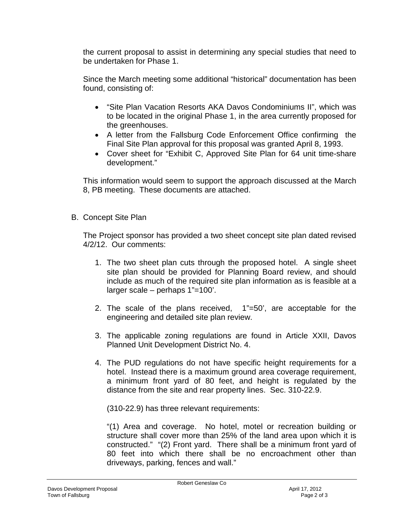the current proposal to assist in determining any special studies that need to be undertaken for Phase 1.

Since the March meeting some additional "historical" documentation has been found, consisting of:

- "Site Plan Vacation Resorts AKA Davos Condominiums II", which was to be located in the original Phase 1, in the area currently proposed for the greenhouses.
- A letter from the Fallsburg Code Enforcement Office confirming the Final Site Plan approval for this proposal was granted April 8, 1993.
- Cover sheet for "Exhibit C, Approved Site Plan for 64 unit time-share development."

This information would seem to support the approach discussed at the March 8, PB meeting. These documents are attached.

B. Concept Site Plan

The Project sponsor has provided a two sheet concept site plan dated revised 4/2/12. Our comments:

- 1. The two sheet plan cuts through the proposed hotel. A single sheet site plan should be provided for Planning Board review, and should include as much of the required site plan information as is feasible at a larger scale – perhaps 1"=100'.
- 2. The scale of the plans received, 1"=50', are acceptable for the engineering and detailed site plan review.
- 3. The applicable zoning regulations are found in Article XXII, Davos Planned Unit Development District No. 4.
- 4. The PUD regulations do not have specific height requirements for a hotel. Instead there is a maximum ground area coverage requirement, a minimum front yard of 80 feet, and height is regulated by the distance from the site and rear property lines. Sec. 310-22.9.

(310-22.9) has three relevant requirements:

"(1) Area and coverage. No hotel, motel or recreation building or structure shall cover more than 25% of the land area upon which it is constructed." "(2) Front yard. There shall be a minimum front yard of 80 feet into which there shall be no encroachment other than driveways, parking, fences and wall."